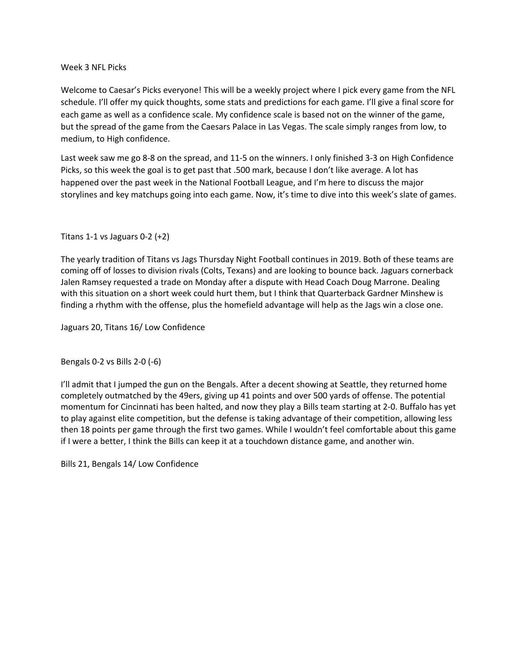## Week 3 NFL Picks

Welcome to Caesar's Picks everyone! This will be a weekly project where I pick every game from the NFL schedule. I'll offer my quick thoughts, some stats and predictions for each game. I'll give a final score for each game as well as a confidence scale. My confidence scale is based not on the winner of the game, but the spread of the game from the Caesars Palace in Las Vegas. The scale simply ranges from low, to medium, to High confidence.

Last week saw me go 8-8 on the spread, and 11-5 on the winners. I only finished 3-3 on High Confidence Picks, so this week the goal is to get past that .500 mark, because I don't like average. A lot has happened over the past week in the National Football League, and I'm here to discuss the major storylines and key matchups going into each game. Now, it's time to dive into this week's slate of games.

## Titans 1-1 vs Jaguars 0-2 (+2)

The yearly tradition of Titans vs Jags Thursday Night Football continues in 2019. Both of these teams are coming off of losses to division rivals (Colts, Texans) and are looking to bounce back. Jaguars cornerback Jalen Ramsey requested a trade on Monday after a dispute with Head Coach Doug Marrone. Dealing with this situation on a short week could hurt them, but I think that Quarterback Gardner Minshew is finding a rhythm with the offense, plus the homefield advantage will help as the Jags win a close one.

Jaguars 20, Titans 16/ Low Confidence

Bengals 0-2 vs Bills 2-0 (-6)

I'll admit that I jumped the gun on the Bengals. After a decent showing at Seattle, they returned home completely outmatched by the 49ers, giving up 41 points and over 500 yards of offense. The potential momentum for Cincinnati has been halted, and now they play a Bills team starting at 2-0. Buffalo has yet to play against elite competition, but the defense is taking advantage of their competition, allowing less then 18 points per game through the first two games. While I wouldn't feel comfortable about this game if I were a better, I think the Bills can keep it at a touchdown distance game, and another win.

Bills 21, Bengals 14/ Low Confidence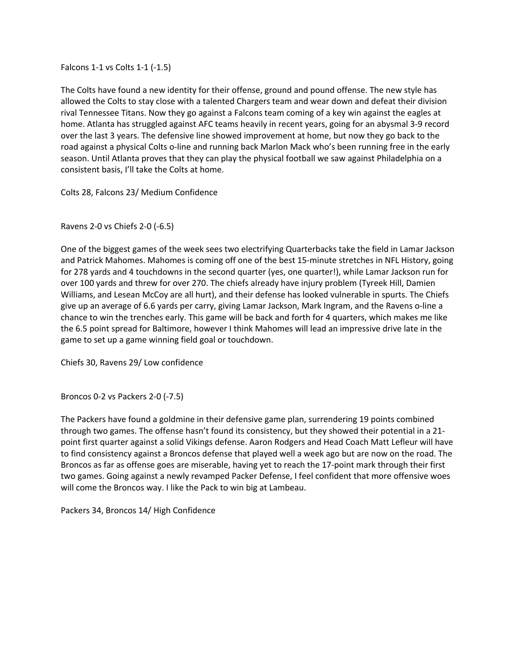Falcons 1-1 vs Colts 1-1 (-1.5)

The Colts have found a new identity for their offense, ground and pound offense. The new style has allowed the Colts to stay close with a talented Chargers team and wear down and defeat their division rival Tennessee Titans. Now they go against a Falcons team coming of a key win against the eagles at home. Atlanta has struggled against AFC teams heavily in recent years, going for an abysmal 3-9 record over the last 3 years. The defensive line showed improvement at home, but now they go back to the road against a physical Colts o-line and running back Marlon Mack who's been running free in the early season. Until Atlanta proves that they can play the physical football we saw against Philadelphia on a consistent basis, I'll take the Colts at home.

Colts 28, Falcons 23/ Medium Confidence

Ravens 2-0 vs Chiefs 2-0 (-6.5)

One of the biggest games of the week sees two electrifying Quarterbacks take the field in Lamar Jackson and Patrick Mahomes. Mahomes is coming off one of the best 15-minute stretches in NFL History, going for 278 yards and 4 touchdowns in the second quarter (yes, one quarter!), while Lamar Jackson run for over 100 yards and threw for over 270. The chiefs already have injury problem (Tyreek Hill, Damien Williams, and Lesean McCoy are all hurt), and their defense has looked vulnerable in spurts. The Chiefs give up an average of 6.6 yards per carry, giving Lamar Jackson, Mark Ingram, and the Ravens o-line a chance to win the trenches early. This game will be back and forth for 4 quarters, which makes me like the 6.5 point spread for Baltimore, however I think Mahomes will lead an impressive drive late in the game to set up a game winning field goal or touchdown.

Chiefs 30, Ravens 29/ Low confidence

Broncos 0-2 vs Packers 2-0 (-7.5)

The Packers have found a goldmine in their defensive game plan, surrendering 19 points combined through two games. The offense hasn't found its consistency, but they showed their potential in a 21 point first quarter against a solid Vikings defense. Aaron Rodgers and Head Coach Matt Lefleur will have to find consistency against a Broncos defense that played well a week ago but are now on the road. The Broncos as far as offense goes are miserable, having yet to reach the 17-point mark through their first two games. Going against a newly revamped Packer Defense, I feel confident that more offensive woes will come the Broncos way. I like the Pack to win big at Lambeau.

Packers 34, Broncos 14/ High Confidence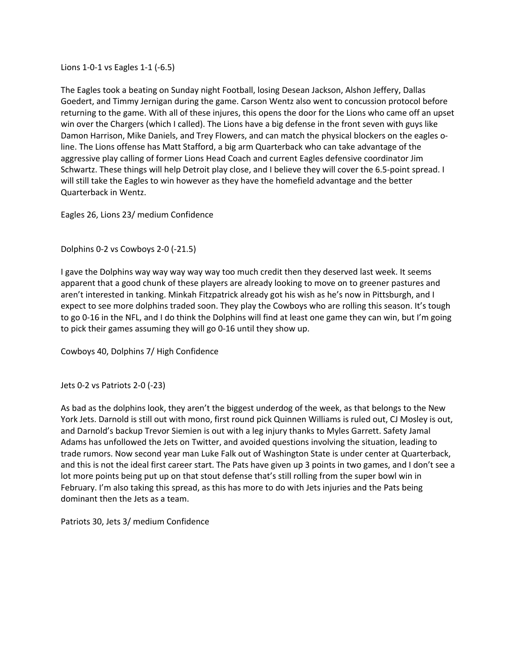Lions 1-0-1 vs Eagles 1-1 (-6.5)

The Eagles took a beating on Sunday night Football, losing Desean Jackson, Alshon Jeffery, Dallas Goedert, and Timmy Jernigan during the game. Carson Wentz also went to concussion protocol before returning to the game. With all of these injures, this opens the door for the Lions who came off an upset win over the Chargers (which I called). The Lions have a big defense in the front seven with guys like Damon Harrison, Mike Daniels, and Trey Flowers, and can match the physical blockers on the eagles oline. The Lions offense has Matt Stafford, a big arm Quarterback who can take advantage of the aggressive play calling of former Lions Head Coach and current Eagles defensive coordinator Jim Schwartz. These things will help Detroit play close, and I believe they will cover the 6.5-point spread. I will still take the Eagles to win however as they have the homefield advantage and the better Quarterback in Wentz.

Eagles 26, Lions 23/ medium Confidence

Dolphins 0-2 vs Cowboys 2-0 (-21.5)

I gave the Dolphins way way way way way too much credit then they deserved last week. It seems apparent that a good chunk of these players are already looking to move on to greener pastures and aren't interested in tanking. Minkah Fitzpatrick already got his wish as he's now in Pittsburgh, and I expect to see more dolphins traded soon. They play the Cowboys who are rolling this season. It's tough to go 0-16 in the NFL, and I do think the Dolphins will find at least one game they can win, but I'm going to pick their games assuming they will go 0-16 until they show up.

Cowboys 40, Dolphins 7/ High Confidence

Jets 0-2 vs Patriots 2-0 (-23)

As bad as the dolphins look, they aren't the biggest underdog of the week, as that belongs to the New York Jets. Darnold is still out with mono, first round pick Quinnen Williams is ruled out, CJ Mosley is out, and Darnold's backup Trevor Siemien is out with a leg injury thanks to Myles Garrett. Safety Jamal Adams has unfollowed the Jets on Twitter, and avoided questions involving the situation, leading to trade rumors. Now second year man Luke Falk out of Washington State is under center at Quarterback, and this is not the ideal first career start. The Pats have given up 3 points in two games, and I don't see a lot more points being put up on that stout defense that's still rolling from the super bowl win in February. I'm also taking this spread, as this has more to do with Jets injuries and the Pats being dominant then the Jets as a team.

Patriots 30, Jets 3/ medium Confidence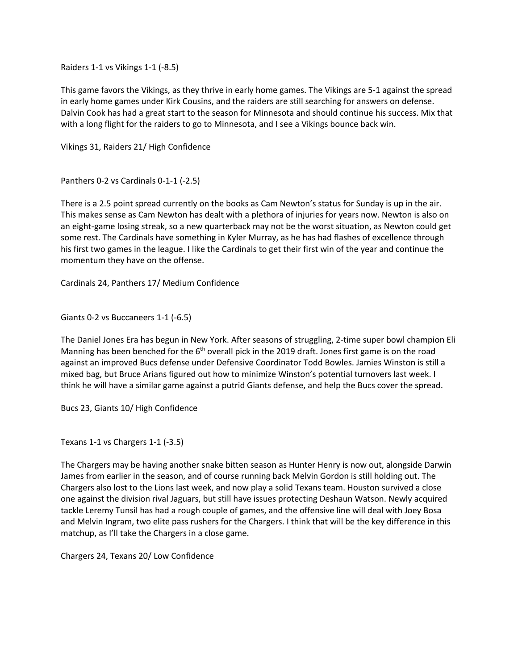Raiders 1-1 vs Vikings 1-1 (-8.5)

This game favors the Vikings, as they thrive in early home games. The Vikings are 5-1 against the spread in early home games under Kirk Cousins, and the raiders are still searching for answers on defense. Dalvin Cook has had a great start to the season for Minnesota and should continue his success. Mix that with a long flight for the raiders to go to Minnesota, and I see a Vikings bounce back win.

Vikings 31, Raiders 21/ High Confidence

Panthers 0-2 vs Cardinals 0-1-1 (-2.5)

There is a 2.5 point spread currently on the books as Cam Newton's status for Sunday is up in the air. This makes sense as Cam Newton has dealt with a plethora of injuries for years now. Newton is also on an eight-game losing streak, so a new quarterback may not be the worst situation, as Newton could get some rest. The Cardinals have something in Kyler Murray, as he has had flashes of excellence through his first two games in the league. I like the Cardinals to get their first win of the year and continue the momentum they have on the offense.

Cardinals 24, Panthers 17/ Medium Confidence

Giants 0-2 vs Buccaneers 1-1 (-6.5)

The Daniel Jones Era has begun in New York. After seasons of struggling, 2-time super bowl champion Eli Manning has been benched for the  $6<sup>th</sup>$  overall pick in the 2019 draft. Jones first game is on the road against an improved Bucs defense under Defensive Coordinator Todd Bowles. Jamies Winston is still a mixed bag, but Bruce Arians figured out how to minimize Winston's potential turnovers last week. I think he will have a similar game against a putrid Giants defense, and help the Bucs cover the spread.

Bucs 23, Giants 10/ High Confidence

Texans 1-1 vs Chargers 1-1 (-3.5)

The Chargers may be having another snake bitten season as Hunter Henry is now out, alongside Darwin James from earlier in the season, and of course running back Melvin Gordon is still holding out. The Chargers also lost to the Lions last week, and now play a solid Texans team. Houston survived a close one against the division rival Jaguars, but still have issues protecting Deshaun Watson. Newly acquired tackle Leremy Tunsil has had a rough couple of games, and the offensive line will deal with Joey Bosa and Melvin Ingram, two elite pass rushers for the Chargers. I think that will be the key difference in this matchup, as I'll take the Chargers in a close game.

Chargers 24, Texans 20/ Low Confidence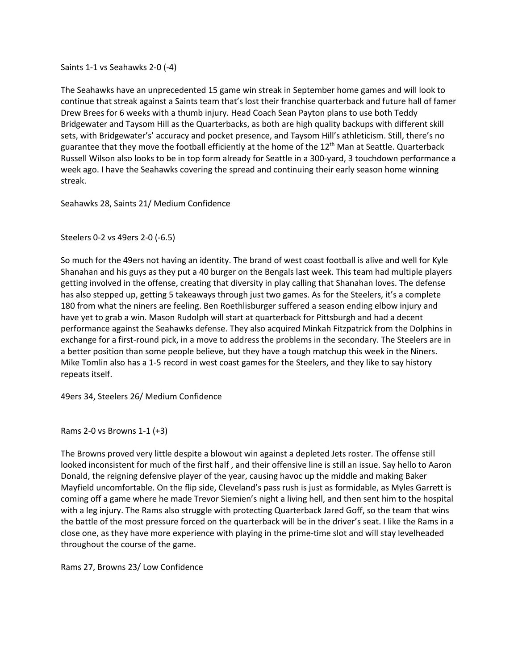Saints 1-1 vs Seahawks 2-0 (-4)

The Seahawks have an unprecedented 15 game win streak in September home games and will look to continue that streak against a Saints team that's lost their franchise quarterback and future hall of famer Drew Brees for 6 weeks with a thumb injury. Head Coach Sean Payton plans to use both Teddy Bridgewater and Taysom Hill as the Quarterbacks, as both are high quality backups with different skill sets, with Bridgewater's' accuracy and pocket presence, and Taysom Hill's athleticism. Still, there's no guarantee that they move the football efficiently at the home of the 12<sup>th</sup> Man at Seattle. Quarterback Russell Wilson also looks to be in top form already for Seattle in a 300-yard, 3 touchdown performance a week ago. I have the Seahawks covering the spread and continuing their early season home winning streak.

Seahawks 28, Saints 21/ Medium Confidence

Steelers 0-2 vs 49ers 2-0 (-6.5)

So much for the 49ers not having an identity. The brand of west coast football is alive and well for Kyle Shanahan and his guys as they put a 40 burger on the Bengals last week. This team had multiple players getting involved in the offense, creating that diversity in play calling that Shanahan loves. The defense has also stepped up, getting 5 takeaways through just two games. As for the Steelers, it's a complete 180 from what the niners are feeling. Ben Roethlisburger suffered a season ending elbow injury and have yet to grab a win. Mason Rudolph will start at quarterback for Pittsburgh and had a decent performance against the Seahawks defense. They also acquired Minkah Fitzpatrick from the Dolphins in exchange for a first-round pick, in a move to address the problems in the secondary. The Steelers are in a better position than some people believe, but they have a tough matchup this week in the Niners. Mike Tomlin also has a 1-5 record in west coast games for the Steelers, and they like to say history repeats itself.

49ers 34, Steelers 26/ Medium Confidence

Rams 2-0 vs Browns 1-1 (+3)

The Browns proved very little despite a blowout win against a depleted Jets roster. The offense still looked inconsistent for much of the first half , and their offensive line is still an issue. Say hello to Aaron Donald, the reigning defensive player of the year, causing havoc up the middle and making Baker Mayfield uncomfortable. On the flip side, Cleveland's pass rush is just as formidable, as Myles Garrett is coming off a game where he made Trevor Siemien's night a living hell, and then sent him to the hospital with a leg injury. The Rams also struggle with protecting Quarterback Jared Goff, so the team that wins the battle of the most pressure forced on the quarterback will be in the driver's seat. I like the Rams in a close one, as they have more experience with playing in the prime-time slot and will stay levelheaded throughout the course of the game.

Rams 27, Browns 23/ Low Confidence